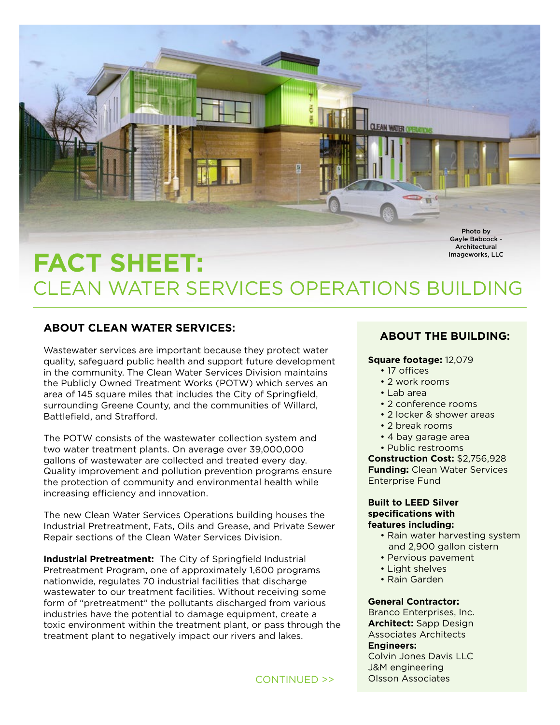

# **FACT SHEET:** CLEAN WATER SERVICES OPERATIONS BUILDING Imageworks, LLC

## **ABOUT CLEAN WATER SERVICES:**

Wastewater services are important because they protect water quality, safeguard public health and support future development in the community. The Clean Water Services Division maintains the Publicly Owned Treatment Works (POTW) which serves an area of 145 square miles that includes the City of Springfield, surrounding Greene County, and the communities of Willard, Battlefield, and Strafford.

The POTW consists of the wastewater collection system and two water treatment plants. On average over 39,000,000 gallons of wastewater are collected and treated every day. Quality improvement and pollution prevention programs ensure the protection of community and environmental health while increasing efficiency and innovation.

The new Clean Water Services Operations building houses the Industrial Pretreatment, Fats, Oils and Grease, and Private Sewer Repair sections of the Clean Water Services Division.

**Industrial Pretreatment:** The City of Springfield Industrial Pretreatment Program, one of approximately 1,600 programs nationwide, regulates 70 industrial facilities that discharge wastewater to our treatment facilities. Without receiving some form of "pretreatment" the pollutants discharged from various industries have the potential to damage equipment, create a toxic environment within the treatment plant, or pass through the treatment plant to negatively impact our rivers and lakes.

## **ABOUT THE BUILDING:**

#### **Square footage:** 12,079

- 17 offices
- 2 work rooms
- Lab area
- 2 conference rooms
- 2 locker & shower areas
- 2 break rooms
- 4 bay garage area
- Public restrooms

**Construction Cost:** \$2,756,928 **Funding:** Clean Water Services Enterprise Fund

#### **Built to LEED Silver specifications with features including:**

- Rain water harvesting system and 2,900 gallon cistern
- Pervious pavement
- Light shelves
- Rain Garden

#### **General Contractor:**

Branco Enterprises, Inc. **Architect:** Sapp Design Associates Architects **Engineers:** 

Colvin Jones Davis LLC J&M engineering Olsson Associates